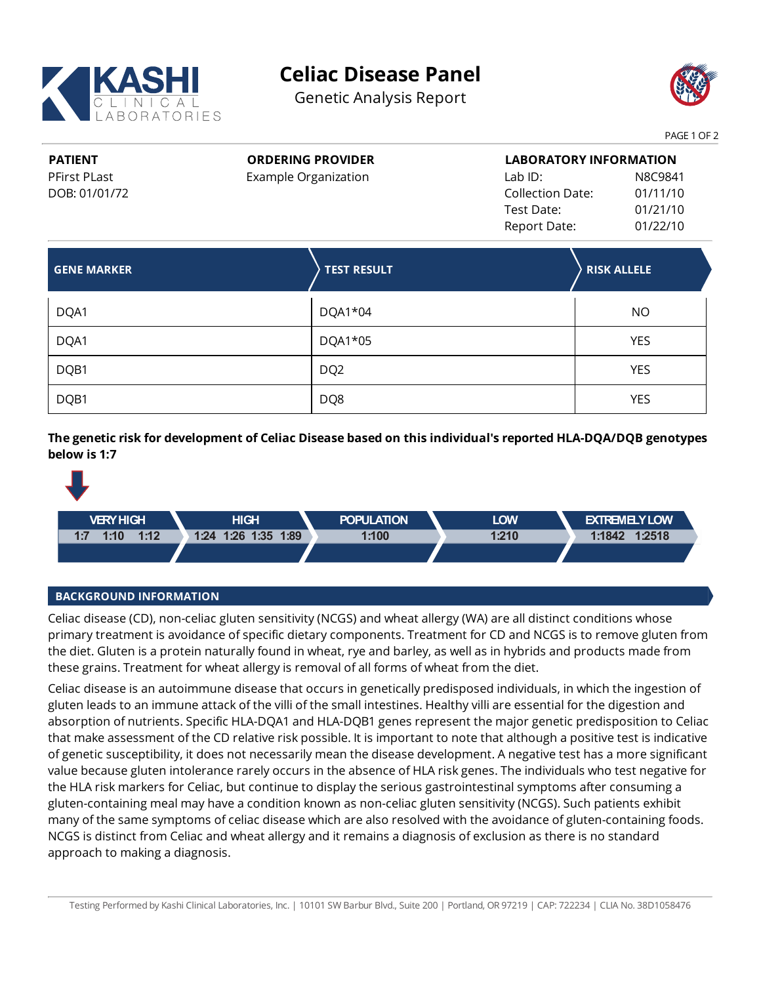

## **Celiac Disease Panel**

Genetic Analysis Report



PAGE 1 OF 2

**PATIENT** PFirst PLast DOB: 01/01/72 **ORDERING PROVIDER** Example Organization **LABORATORY INFORMATION** Lab ID: N8C9841 Collection Date: 01/11/10 Test Date: 01/21/10 Report Date: 01/22/10

| <b>GENE MARKER</b> | <b>TEST RESULT</b> | <b>RISK ALLELE</b> |
|--------------------|--------------------|--------------------|
| DQA1               | DQA1*04            | <b>NO</b>          |
| DQA1               | DQA1*05            | <b>YES</b>         |
| DQB1               | DQ <sub>2</sub>    | <b>YES</b>         |
| DQB1               | DQ8                | <b>YES</b>         |

**The geneticrisk for development of Celiac Disease based on this individual's reported HLA-DQA/DQB genotypes below is 1:7**



## **BACKGROUND INFORMATION**

Celiac disease (CD), non-celiac gluten sensitivity (NCGS) and wheat allergy (WA) are all distinct conditions whose primary treatment is avoidance of specific dietary components. Treatment for CD and NCGS is to remove gluten from the diet. Gluten is a protein naturally found in wheat, rye and barley, as well as in hybrids and products made from these grains. Treatment for wheat allergy is removal of all forms of wheat from the diet.

Celiac disease is an autoimmune disease that occurs in genetically predisposed individuals, in which the ingestion of gluten leads to an immune attack of the villi of the small intestines. Healthyvilli are essential for the digestion and absorption of nutrients. Specific HLA-DQA1 and HLA-DQB1 genes represent the major genetic predisposition to Celiac that make assessment of the CD relative risk possible. It is important to note that although a positive test is indicative ofgenetic susceptibility, it does not necessarily mean the disease development. A negative test has a more significant value because gluten intolerance rarely occurs in the absence of HLA riskgenes. The individuals who test negative for the HLA risk markers for Celiac, but continue to display the serious gastrointestinal symptoms after consuming a gluten-containing meal may have a condition known as non-celiacgluten sensitivity(NCGS). Such patients exhibit many of the same symptoms of celiac disease which are also resolved with the avoidance of gluten-containing foods. NCGS is distinct from Celiac and wheat allergy and it remains a diagnosis of exclusion as there is no standard approach to making a diagnosis.